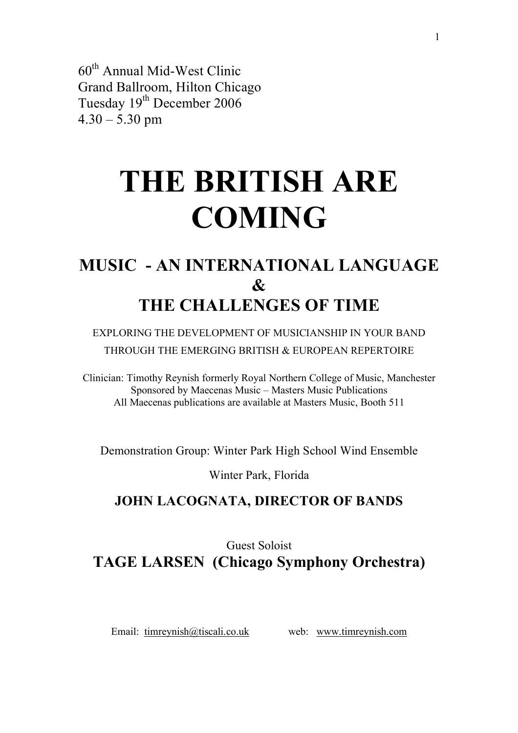60th Annual Mid-West Clinic Grand Ballroom, Hilton Chicago Tuesday 19<sup>th</sup> December 2006  $4.30 - 5.30$  pm

# **THE BRITISH ARE COMING**

## **MUSIC - AN INTERNATIONAL LANGUAGE & THE CHALLENGES OF TIME**

EXPLORING THE DEVELOPMENT OF MUSICIANSHIP IN YOUR BAND THROUGH THE EMERGING BRITISH & EUROPEAN REPERTOIRE

Clinician: Timothy Reynish formerly Royal Northern College of Music, Manchester Sponsored by Maecenas Music – Masters Music Publications All Maecenas publications are available at Masters Music, Booth 511

Demonstration Group: Winter Park High School Wind Ensemble

Winter Park, Florida

### **JOHN LACOGNATA, DIRECTOR OF BANDS**

### Guest Soloist **TAGE LARSEN (Chicago Symphony Orchestra)**

Email: timreynish@tiscali.co.uk web: www.timreynish.com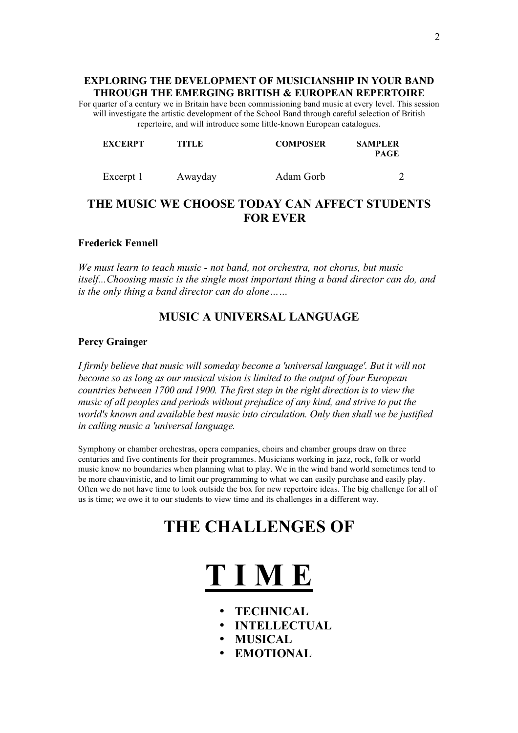#### **EXPLORING THE DEVELOPMENT OF MUSICIANSHIP IN YOUR BAND THROUGH THE EMERGING BRITISH & EUROPEAN REPERTOIRE**

For quarter of a century we in Britain have been commissioning band music at every level. This session will investigate the artistic development of the School Band through careful selection of British repertoire, and will introduce some little-known European catalogues.

| <b>EXCERPT</b> | <b>TITLE</b> | <b>COMPOSER</b> | <b>SAMPLER</b><br><b>PAGE</b> |
|----------------|--------------|-----------------|-------------------------------|
| Excerpt 1      | Awayday      | Adam Gorb       |                               |

### **THE MUSIC WE CHOOSE TODAY CAN AFFECT STUDENTS FOR EVER**

#### **Frederick Fennell**

*We must learn to teach music - not band, not orchestra, not chorus, but music itself...Choosing music is the single most important thing a band director can do, and is the only thing a band director can do alone……*

#### **MUSIC A UNIVERSAL LANGUAGE**

#### **Percy Grainger**

*I firmly believe that music will someday become a 'universal language'. But it will not become so as long as our musical vision is limited to the output of four European countries between 1700 and 1900. The first step in the right direction is to view the music of all peoples and periods without prejudice of any kind, and strive to put the world's known and available best music into circulation. Only then shall we be justified in calling music a 'universal language.*

Symphony or chamber orchestras, opera companies, choirs and chamber groups draw on three centuries and five continents for their programmes. Musicians working in jazz, rock, folk or world music know no boundaries when planning what to play. We in the wind band world sometimes tend to be more chauvinistic, and to limit our programming to what we can easily purchase and easily play. Often we do not have time to look outside the box for new repertoire ideas. The big challenge for all of us is time; we owe it to our students to view time and its challenges in a different way.

### **THE CHALLENGES OF**



- **TECHNICAL**
- **INTELLECTUAL**
- **MUSICAL**
- **EMOTIONAL**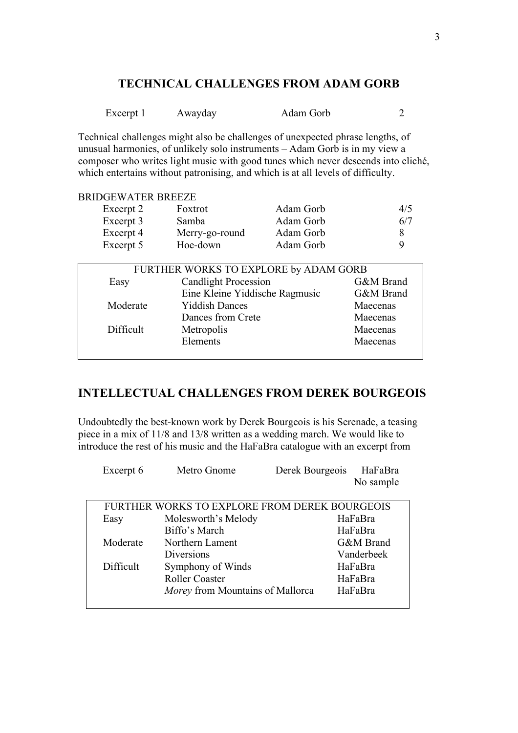### **TECHNICAL CHALLENGES FROM ADAM GORB**

| Excerpt 1 | Awayday | Adam Gorb |  |
|-----------|---------|-----------|--|
|           |         |           |  |

Technical challenges might also be challenges of unexpected phrase lengths, of unusual harmonies, of unlikely solo instruments – Adam Gorb is in my view a composer who writes light music with good tunes which never descends into cliché, which entertains without patronising, and which is at all levels of difficulty.

#### BRIDGEWATER BREEZE

| Excerpt 2 | Foxtrot                               | Adam Gorb | 4/5       |
|-----------|---------------------------------------|-----------|-----------|
| Excerpt 3 | Samba                                 | Adam Gorb | 6/7       |
| Excerpt 4 | Merry-go-round                        | Adam Gorb | 8         |
| Excerpt 5 | Hoe-down                              | Adam Gorb | 9         |
|           |                                       |           |           |
|           | FURTHER WORKS TO EXPLORE by ADAM GORB |           |           |
| Easy      | <b>Candlight Procession</b>           |           | G&M Brand |
|           | Eine Kleine Yiddische Ragmusic        |           | G&M Brand |
| Moderate  | <b>Yiddish Dances</b>                 |           | Maecenas  |
|           | Dances from Crete                     |           | Maecenas  |

#### **INTELLECTUAL CHALLENGES FROM DEREK BOURGEOIS**

Difficult Metropolis Maecenas

Elements Maecenas

Undoubtedly the best-known work by Derek Bourgeois is his Serenade, a teasing piece in a mix of 11/8 and 13/8 written as a wedding march. We would like to introduce the rest of his music and the HaFaBra catalogue with an excerpt from

| Excerpt 6 | Metro Gnome                                   | Derek Bourgeois | HaFaBra    |
|-----------|-----------------------------------------------|-----------------|------------|
|           |                                               |                 | No sample  |
|           |                                               |                 |            |
|           | FURTHER WORKS TO EXPLORE FROM DEREK BOURGEOIS |                 |            |
| Easy      | Molesworth's Melody                           |                 | HaFaBra    |
|           | Biffo's March                                 |                 | HaFaBra    |
| Moderate  | Northern Lament                               |                 | G&M Brand  |
|           | <b>Diversions</b>                             |                 | Vanderbeek |
| Difficult | Symphony of Winds                             |                 | HaFaBra    |
|           | <b>Roller Coaster</b>                         |                 | HaFaBra    |
|           | <i>Morey</i> from Mountains of Mallorca       |                 | HaFaBra    |
|           |                                               |                 |            |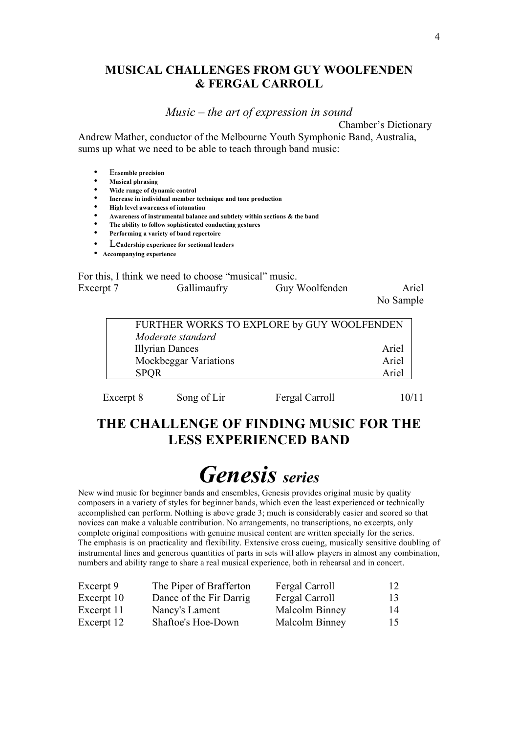#### **MUSICAL CHALLENGES FROM GUY WOOLFENDEN & FERGAL CARROLL**

*Music – the art of expression in sound*

Chamber's Dictionary

Andrew Mather, conductor of the Melbourne Youth Symphonic Band, Australia, sums up what we need to be able to teach through band music:

- En**semble precision**
- **Musical phrasing**
- **Wide range of dynamic control**
- **Increase in individual member technique and tone production**
- **High level awareness of intonation**
- **Awareness of instrumental balance and subtlety within sections & the band**
- **The ability to follow sophisticated conducting gestures**
- **Performing a variety of band repertoire**
- Le**adership experience for sectional leaders**
- **Accompanying experience**

For this, I think we need to choose "musical" music. Excerpt 7 Gallimaufry Guy Woolfenden Ariel No Sample

> FURTHER WORKS TO EXPLORE by GUY WOOLFENDEN *Moderate standard* Illyrian Dances **Ariel** Mockbeggar Variations Ariel SPQR Ariel

Excerpt 8 Song of Lir Fergal Carroll 10/11

### **THE CHALLENGE OF FINDING MUSIC FOR THE LESS EXPERIENCED BAND**

# *Genesis series*

New wind music for beginner bands and ensembles, Genesis provides original music by quality composers in a variety of styles for beginner bands, which even the least experienced or technically accomplished can perform. Nothing is above grade 3; much is considerably easier and scored so that novices can make a valuable contribution. No arrangements, no transcriptions, no excerpts, only complete original compositions with genuine musical content are written specially for the series. The emphasis is on practicality and flexibility. Extensive cross cueing, musically sensitive doubling of instrumental lines and generous quantities of parts in sets will allow players in almost any combination, numbers and ability range to share a real musical experience, both in rehearsal and in concert.

| Excerpt 9  | The Piper of Brafferton | Fergal Carroll | 12 |
|------------|-------------------------|----------------|----|
| Excerpt 10 | Dance of the Fir Darrig | Fergal Carroll | 13 |
| Excerpt 11 | Nancy's Lament          | Malcolm Binney | 14 |
| Excerpt 12 | Shaftoe's Hoe-Down      | Malcolm Binney | 15 |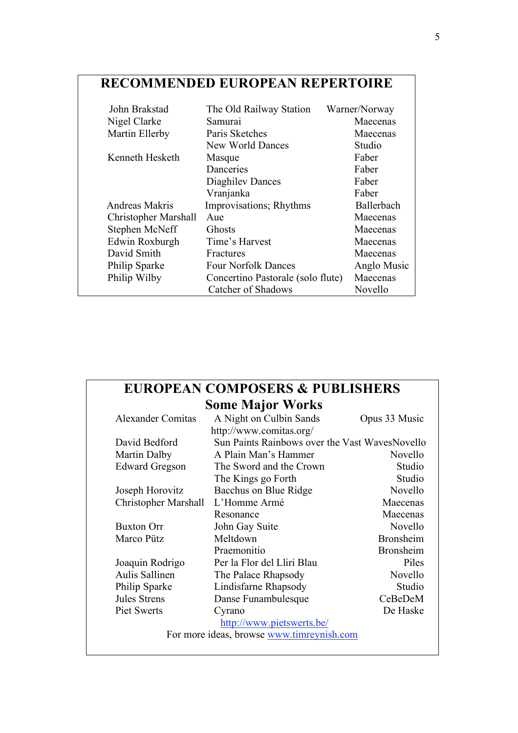### **RECOMMENDED EUROPEAN REPERTOIRE**

| John Brakstad               | The Old Railway Station           | Warner/Norway |
|-----------------------------|-----------------------------------|---------------|
| Nigel Clarke                | Samurai                           | Maecenas      |
| Martin Ellerby              | Paris Sketches                    | Maecenas      |
|                             | New World Dances                  | Studio        |
| Kenneth Hesketh             | Masque                            | Faber         |
|                             | Danceries                         | Faber         |
|                             | Diaghiley Dances                  | Faber         |
|                             | Vranjanka                         | Faber         |
| Andreas Makris              | Improvisations; Rhythms           | Ballerbach    |
| <b>Christopher Marshall</b> | Aue                               | Maecenas      |
| Stephen McNeff              | <b>Ghosts</b>                     | Maecenas      |
| Edwin Roxburgh              | Time's Harvest                    | Maecenas      |
| David Smith                 | Fractures                         | Maecenas      |
| Philip Sparke               | <b>Four Norfolk Dances</b>        | Anglo Music   |
| Philip Wilby                | Concertino Pastorale (solo flute) | Maecenas      |
|                             | Catcher of Shadows                | Novello       |

### **EUROPEAN COMPOSERS & PUBLISHERS Some Major Works**

| <b>Alexander Comitas</b>    | A Night on Culbin Sands                        | Opus 33 Music    |
|-----------------------------|------------------------------------------------|------------------|
|                             | http://www.comitas.org/                        |                  |
| David Bedford               | Sun Paints Rainbows over the Vast WavesNovello |                  |
| Martin Dalby                | A Plain Man's Hammer                           | Novello          |
| <b>Edward Gregson</b>       | The Sword and the Crown                        | Studio           |
|                             | The Kings go Forth                             | Studio           |
| Joseph Horovitz             | Bacchus on Blue Ridge                          | Novello          |
| <b>Christopher Marshall</b> | L'Homme Armé                                   | Maecenas         |
|                             | Resonance                                      | Maecenas         |
| <b>Buxton Orr</b>           | John Gay Suite                                 | Novello          |
| Marco Pütz                  | Meltdown                                       | <b>Bronsheim</b> |
|                             | Praemonitio                                    | <b>Bronsheim</b> |
| Joaquin Rodrigo             | Per la Flor del Lliri Blau                     | Piles            |
| Aulis Sallinen              | The Palace Rhapsody                            | Novello          |
| Philip Sparke               | Lindisfarne Rhapsody                           | Studio           |
| Jules Strens                | Danse Funambulesque                            | CeBeDeM          |
| Piet Swerts                 | Cyrano                                         | De Haske         |
|                             | http://www.pietswerts.be/                      |                  |
|                             | For more ideas, browse www.timreynish.com      |                  |
|                             |                                                |                  |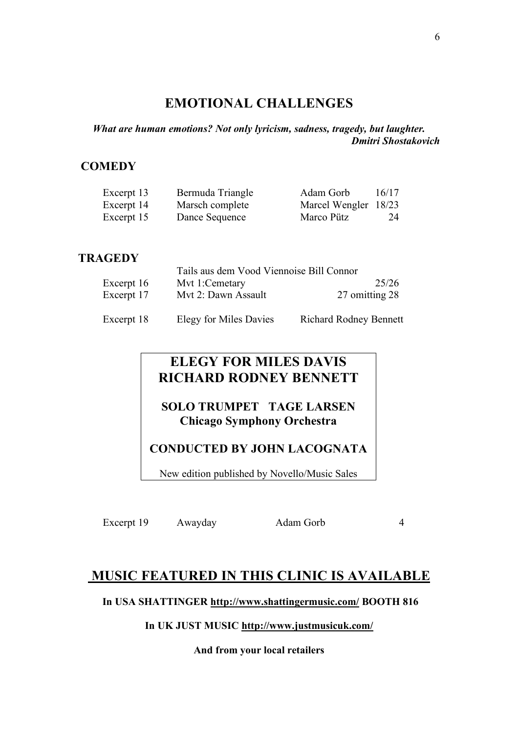### **EMOTIONAL CHALLENGES**

*What are human emotions? Not only lyricism, sadness, tragedy, but laughter. Dmitri Shostakovich*

### **COMEDY**

| Excerpt 13 | Bermuda Triangle | Adam Gorb            | 16/17 |
|------------|------------------|----------------------|-------|
| Excerpt 14 | Marsch complete  | Marcel Wengler 18/23 |       |
| Excerpt 15 | Dance Sequence   | Marco Pütz           | 24    |

### **TRAGEDY**

| -------    |                                          |                               |
|------------|------------------------------------------|-------------------------------|
|            | Tails aus dem Vood Viennoise Bill Connor |                               |
| Excerpt 16 | Myt 1:Cemetary                           | 25/26                         |
| Excerpt 17 | Mvt 2: Dawn Assault                      | 27 omitting 28                |
| Excerpt 18 | Elegy for Miles Davies                   | <b>Richard Rodney Bennett</b> |

### **ELEGY FOR MILES DAVIS RICHARD RODNEY BENNETT**

**SOLO TRUMPET TAGE LARSEN Chicago Symphony Orchestra**

### **CONDUCTED BY JOHN LACOGNATA**

New edition published by Novello/Music Sales

Excerpt 19 Awayday Adam Gorb 4

### **MUSIC FEATURED IN THIS CLINIC IS AVAILABLE**

**In USA SHATTINGER http://www.shattingermusic.com/ BOOTH 816**

#### **In UK JUST MUSIC http://www.justmusicuk.com/**

**And from your local retailers**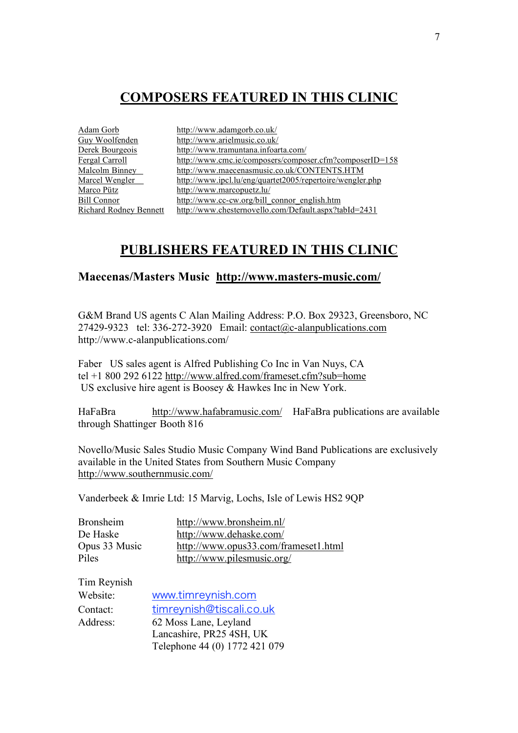### **COMPOSERS FEATURED IN THIS CLINIC**

| http://www.adamgorb.co.uk/                                |
|-----------------------------------------------------------|
| http://www.arielmusic.co.uk/                              |
| http://www.tramuntana.infoarta.com/                       |
| http://www.cmc.ie/composers/composer.cfm?composerID=158   |
| http://www.maecenasmusic.co.uk/CONTENTS.HTM               |
| http://www.ipcl.lu/eng/quartet2005/repertoire/wengler.php |
| http://www.marcopuetz.lu/                                 |
| http://www.cc-cw.org/bill_connor_english.htm              |
| http://www.chesternovello.com/Default.aspx?tabId=2431     |
|                                                           |

### **PUBLISHERS FEATURED IN THIS CLINIC**

#### **Maecenas/Masters Music http://www.masters-music.com/**

G&M Brand US agents C Alan Mailing Address: P.O. Box 29323, Greensboro, NC 27429-9323 tel: 336-272-3920 Email: contact@c-alanpublications.com http://www.c-alanpublications.com/

Faber US sales agent is Alfred Publishing Co Inc in Van Nuys, CA tel +1 800 292 6122 http://www.alfred.com/frameset.cfm?sub=home US exclusive hire agent is Boosey & Hawkes Inc in New York.

HaFaBra http://www.hafabramusic.com/ HaFaBra publications are available through Shattinger Booth 816

Novello/Music Sales Studio Music Company Wind Band Publications are exclusively available in the United States from Southern Music Company http://www.southernmusic.com/

Vanderbeek & Imrie Ltd: 15 Marvig, Lochs, Isle of Lewis HS2 9QP

| <b>Bronsheim</b> | http://www.bronsheim.nl/             |
|------------------|--------------------------------------|
| De Haske         | http://www.dehaske.com/              |
| Opus 33 Music    | http://www.opus33.com/frameset1.html |
| Piles            | http://www.pilesmusic.org/           |

| Tim Reynish |                               |
|-------------|-------------------------------|
| Website:    | www.timreynish.com            |
| Contact:    | timreynish@tiscali.co.uk      |
| Address:    | 62 Moss Lane, Leyland         |
|             | Lancashire, PR25 4SH, UK      |
|             | Telephone 44 (0) 1772 421 079 |